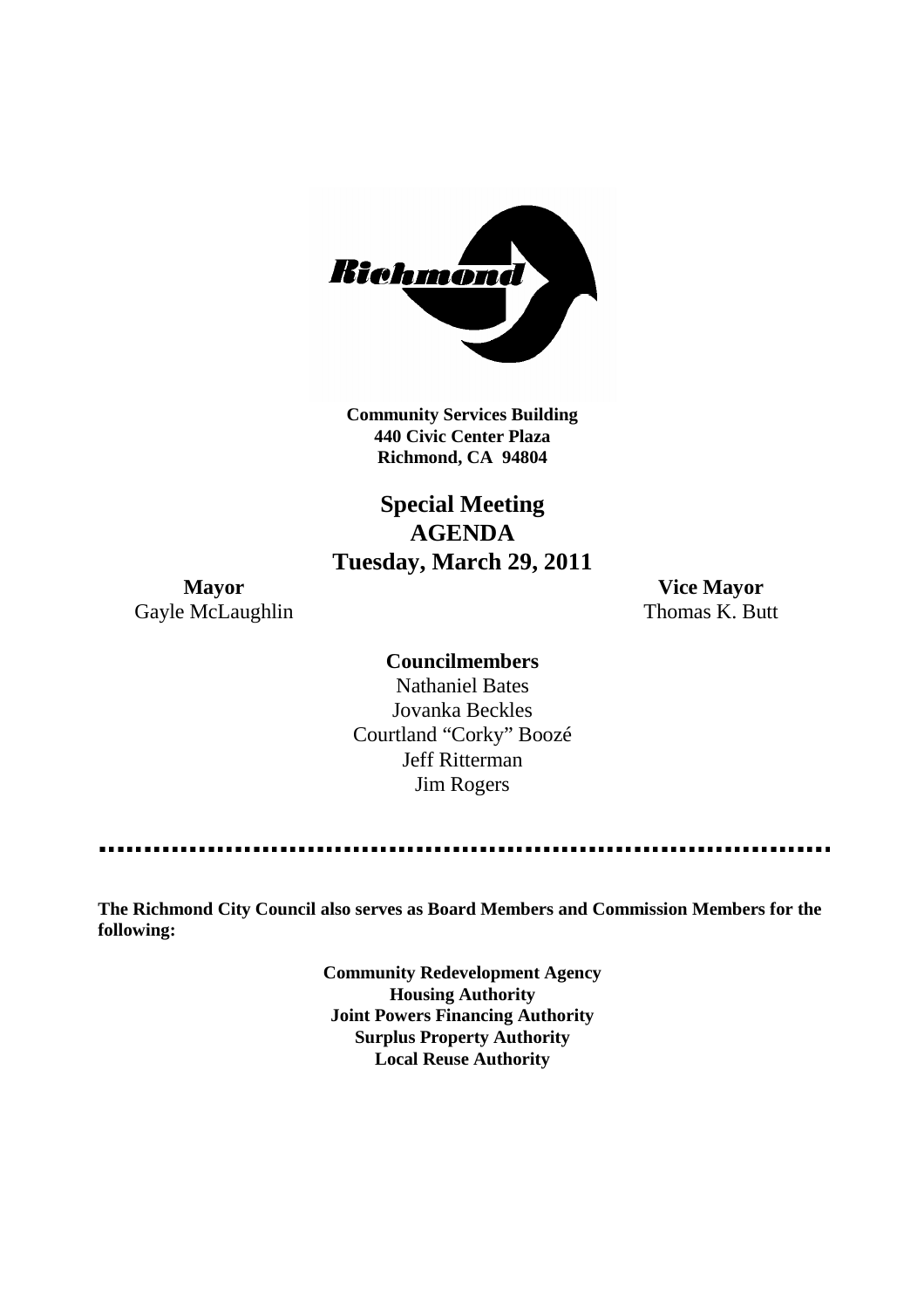

**Community Services Building 440 Civic Center Plaza Richmond, CA 94804**

# **Special Meeting AGENDA Tuesday, March 29, 2011**

Gayle McLaughlin Thomas K. Butt

**Mayor Vice Mayor**

**Councilmembers** Nathaniel Bates Jovanka Beckles Courtland "Corky" Boozé Jeff Ritterman Jim Rogers

**The Richmond City Council also serves as Board Members and Commission Members for the following:**

> **Community Redevelopment Agency Housing Authority Joint Powers Financing Authority Surplus Property Authority Local Reuse Authority**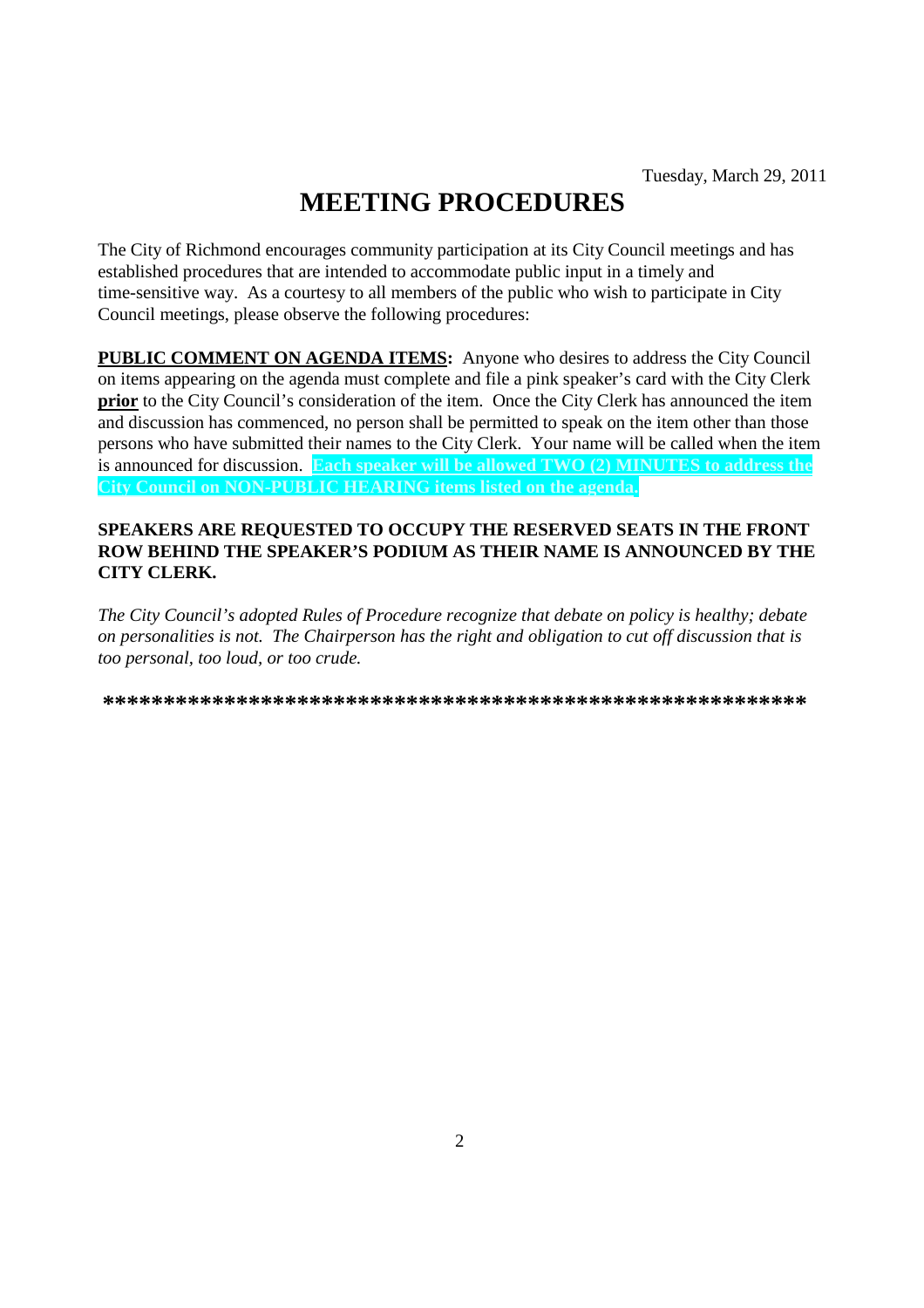# **MEETING PROCEDURES**

The City of Richmond encourages community participation at its City Council meetings and has established procedures that are intended to accommodate public input in a timely and time-sensitive way. As a courtesy to all members of the public who wish to participate in City Council meetings, please observe the following procedures:

**PUBLIC COMMENT ON AGENDA ITEMS:** Anyone who desires to address the City Council on items appearing on the agenda must complete and file a pink speaker's card with the City Clerk **prior** to the City Council's consideration of the item. Once the City Clerk has announced the item and discussion has commenced, no person shall be permitted to speak on the item other than those persons who have submitted their names to the City Clerk. Your name will be called when the item is announced for discussion. **Each speaker will be allowed TWO (2) MINUTES to address the City Council on NON-PUBLIC HEARING items listed on the agenda.**

## **SPEAKERS ARE REQUESTED TO OCCUPY THE RESERVED SEATS IN THE FRONT ROW BEHIND THE SPEAKER'S PODIUM AS THEIR NAME IS ANNOUNCED BY THE CITY CLERK.**

*The City Council's adopted Rules of Procedure recognize that debate on policy is healthy; debate on personalities is not. The Chairperson has the right and obligation to cut off discussion that is too personal, too loud, or too crude.*

**\*\*\*\*\*\*\*\*\*\*\*\*\*\*\*\*\*\*\*\*\*\*\*\*\*\*\*\*\*\*\*\*\*\*\*\*\*\*\*\*\*\*\*\*\*\*\*\*\*\*\*\*\*\*\*\*\*\***